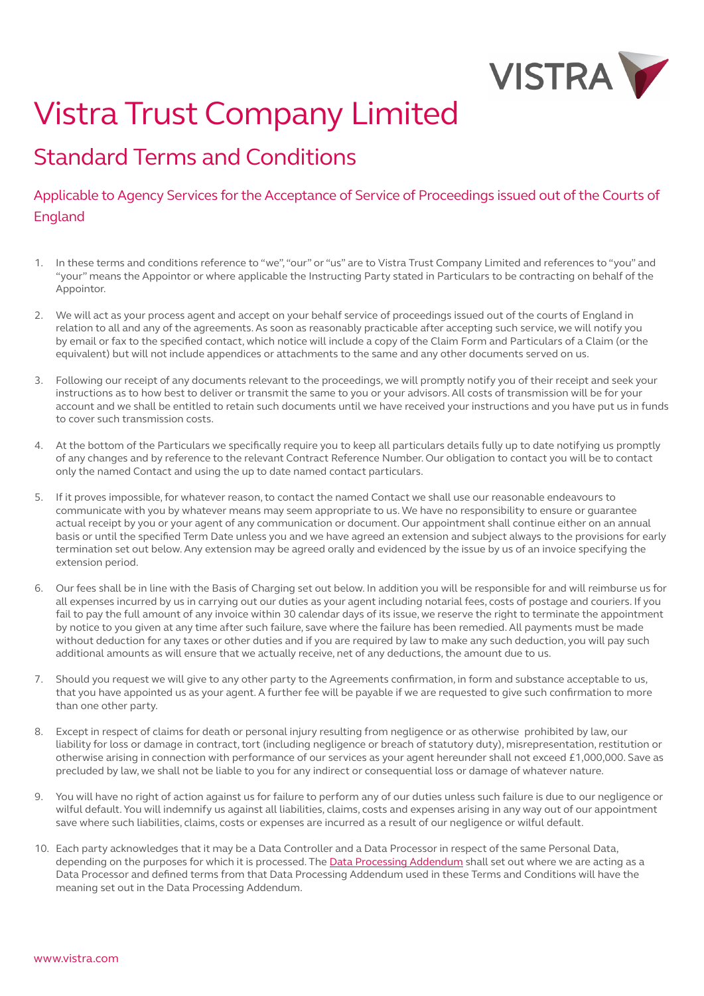

# Vistra Trust Company Limited

## Standard Terms and Conditions

### Applicable to Agency Services for the Acceptance of Service of Proceedings issued out of the Courts of England

- 1. In these terms and conditions reference to "we", "our" or "us" are to Vistra Trust Company Limited and references to "you" and "your" means the Appointor or where applicable the Instructing Party stated in Particulars to be contracting on behalf of the Appointor.
- 2. We will act as your process agent and accept on your behalf service of proceedings issued out of the courts of England in relation to all and any of the agreements. As soon as reasonably practicable after accepting such service, we will notify you by email or fax to the specified contact, which notice will include a copy of the Claim Form and Particulars of a Claim (or the equivalent) but will not include appendices or attachments to the same and any other documents served on us.
- 3. Following our receipt of any documents relevant to the proceedings, we will promptly notify you of their receipt and seek your instructions as to how best to deliver or transmit the same to you or your advisors. All costs of transmission will be for your account and we shall be entitled to retain such documents until we have received your instructions and you have put us in funds to cover such transmission costs.
- 4. At the bottom of the Particulars we specifically require you to keep all particulars details fully up to date notifying us promptly of any changes and by reference to the relevant Contract Reference Number. Our obligation to contact you will be to contact only the named Contact and using the up to date named contact particulars.
- 5. If it proves impossible, for whatever reason, to contact the named Contact we shall use our reasonable endeavours to communicate with you by whatever means may seem appropriate to us. We have no responsibility to ensure or guarantee actual receipt by you or your agent of any communication or document. Our appointment shall continue either on an annual basis or until the specified Term Date unless you and we have agreed an extension and subject always to the provisions for early termination set out below. Any extension may be agreed orally and evidenced by the issue by us of an invoice specifying the extension period.
- 6. Our fees shall be in line with the Basis of Charging set out below. In addition you will be responsible for and will reimburse us for all expenses incurred by us in carrying out our duties as your agent including notarial fees, costs of postage and couriers. If you fail to pay the full amount of any invoice within 30 calendar days of its issue, we reserve the right to terminate the appointment by notice to you given at any time after such failure, save where the failure has been remedied. All payments must be made without deduction for any taxes or other duties and if you are required by law to make any such deduction, you will pay such additional amounts as will ensure that we actually receive, net of any deductions, the amount due to us.
- 7. Should you request we will give to any other party to the Agreements confirmation, in form and substance acceptable to us, that you have appointed us as your agent. A further fee will be payable if we are requested to give such confirmation to more than one other party.
- 8. Except in respect of claims for death or personal injury resulting from negligence or as otherwise prohibited by law, our liability for loss or damage in contract, tort (including negligence or breach of statutory duty), misrepresentation, restitution or otherwise arising in connection with performance of our services as your agent hereunder shall not exceed £1,000,000. Save as precluded by law, we shall not be liable to you for any indirect or consequential loss or damage of whatever nature.
- 9. You will have no right of action against us for failure to perform any of our duties unless such failure is due to our negligence or wilful default. You will indemnify us against all liabilities, claims, costs and expenses arising in any way out of our appointment save where such liabilities, claims, costs or expenses are incurred as a result of our negligence or wilful default.
- 10. Each party acknowledges that it may be a Data Controller and a Data Processor in respect of the same Personal Data, depending on the purposes for which it is processed. The [Data Processing Addendum](https://businessportal.vistra.com/documents/793163/0/Vistra+Data+Processing+Addendum/3b9a9eb0-ad76-6313-51e0-9e3fa7b702eb) shall set out where we are acting as a Data Processor and defined terms from that Data Processing Addendum used in these Terms and Conditions will have the meaning set out in the Data Processing Addendum.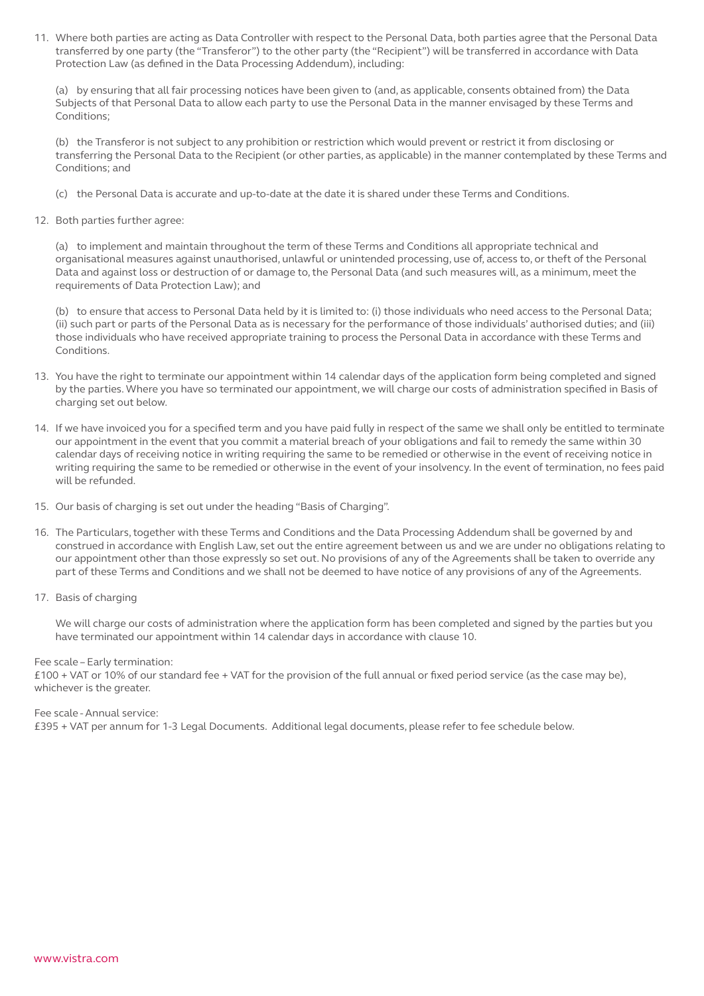11. Where both parties are acting as Data Controller with respect to the Personal Data, both parties agree that the Personal Data transferred by one party (the "Transferor") to the other party (the "Recipient") will be transferred in accordance with Data Protection Law (as defined in the Data Processing Addendum), including:

(a) by ensuring that all fair processing notices have been given to (and, as applicable, consents obtained from) the Data Subjects of that Personal Data to allow each party to use the Personal Data in the manner envisaged by these Terms and Conditions;

(b) the Transferor is not subject to any prohibition or restriction which would prevent or restrict it from disclosing or transferring the Personal Data to the Recipient (or other parties, as applicable) in the manner contemplated by these Terms and Conditions; and

- (c) the Personal Data is accurate and up-to-date at the date it is shared under these Terms and Conditions.
- 12. Both parties further agree:

(a) to implement and maintain throughout the term of these Terms and Conditions all appropriate technical and organisational measures against unauthorised, unlawful or unintended processing, use of, access to, or theft of the Personal Data and against loss or destruction of or damage to, the Personal Data (and such measures will, as a minimum, meet the requirements of Data Protection Law); and

(b) to ensure that access to Personal Data held by it is limited to: (i) those individuals who need access to the Personal Data; (ii) such part or parts of the Personal Data as is necessary for the performance of those individuals' authorised duties; and (iii) those individuals who have received appropriate training to process the Personal Data in accordance with these Terms and Conditions.

- 13. You have the right to terminate our appointment within 14 calendar days of the application form being completed and signed by the parties. Where you have so terminated our appointment, we will charge our costs of administration specified in Basis of charging set out below.
- 14. If we have invoiced you for a specified term and you have paid fully in respect of the same we shall only be entitled to terminate our appointment in the event that you commit a material breach of your obligations and fail to remedy the same within 30 calendar days of receiving notice in writing requiring the same to be remedied or otherwise in the event of receiving notice in writing requiring the same to be remedied or otherwise in the event of your insolvency. In the event of termination, no fees paid will be refunded.
- 15. Our basis of charging is set out under the heading "Basis of Charging".
- 16. The Particulars, together with these Terms and Conditions and the Data Processing Addendum shall be governed by and construed in accordance with English Law, set out the entire agreement between us and we are under no obligations relating to our appointment other than those expressly so set out. No provisions of any of the Agreements shall be taken to override any part of these Terms and Conditions and we shall not be deemed to have notice of any provisions of any of the Agreements.
- 17. Basis of charging

We will charge our costs of administration where the application form has been completed and signed by the parties but you have terminated our appointment within 14 calendar days in accordance with clause 10.

#### Fee scale – Early termination:

£100 + VAT or 10% of our standard fee + VAT for the provision of the full annual or fixed period service (as the case may be), whichever is the greater.

#### Fee scale - Annual service:

£395 + VAT per annum for 1-3 Legal Documents. Additional legal documents, please refer to fee schedule below.